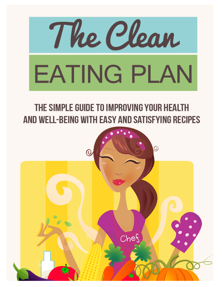

# THE SIMPLE GUIDE TO IMPROVING YOUR HEALTH AND WELL-BEING WITH EASY AND SATISFYING RECIPES

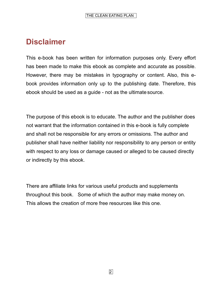## **Disclaimer**

This e-book has been written for information purposes only. Every effort has been made to make this ebook as complete and accurate as possible. However, there may be mistakes in typography or content. Also, this ebook provides information only up to the publishing date. Therefore, this ebook should be used as a guide - not as the ultimate source.

The purpose of this ebook is to educate. The author and the publisher does not warrant that the information contained in this e-book is fully complete and shall not be responsible for any errors or omissions. The author and publisher shall have neither liability nor responsibility to any person or entity with respect to any loss or damage caused or alleged to be caused directly or indirectly by this ebook.

There are affiliate links for various useful products and supplements throughout this book. Some of which the author may make money on. This allows the creation of more free resources like this one.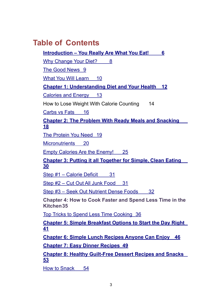## **Table of Contents**

**Introduction – You Really Are What You Eat! 6**

Why Change Your Diet? 8

The Good News 9

What You Will Learn 10

**Chapter 1: Understanding Diet and Your Health 12**

Calories and Energy 13

How to Lose Weight With Calorie Counting 14

Carbs vs Fats 16

**Chapter 2: The Problem With Ready Meals and Snacking 18**

The Protein You Need 19

Micronutrients 20

Empty Calories Are the Enemy! 25

**Chapter 3: Putting it all Together for Simple, Clean Eating 30**

Step #1 – Calorie Deficit 31

Step #2 – Cut Out All Junk Food 31

Step #3 – Seek Out Nutrient Dense Foods 32

**Chapter 4: How to Cook Faster and Spend Less Time in the Kitchen35** 

Top Tricks to Spend Less Time Cooking 36

**Chapter 5: Simple Breakfast Options to Start the Day Right 41**

**Chapter 6: Simple Lunch Recipes Anyone Can Enjoy 46**

**Chapter 7: Easy Dinner Recipes 49**

**Chapter 8: Healthy Guilt-Free Dessert Recipes and Snacks 53**

How to Snack 54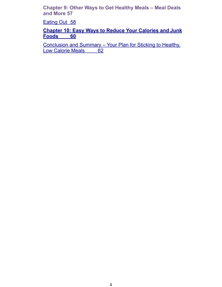**Chapter 9: Other Ways to Get Healthy Meals – Meal Deals and More 57** 

Eating Out 58

**Chapter 10: Easy Ways to Reduce Your Calories and Junk Foods 60**

Conclusion and Summary – Your Plan for Sticking to Healthy, Low Calorie Meals 62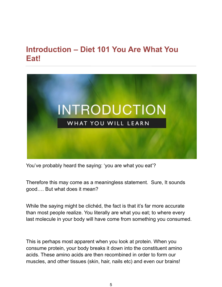## **Introduction – Diet 101 You Are What You Eat!**



You've probably heard the saying: 'you are what you eat'?

Therefore this may come as a meaningless statement. Sure, It sounds good…. But what does it mean?

While the saying might be clichéd, the fact is that it's far more accurate than most people realize. You literally are what you eat; to where every last molecule in your body will have come from something you consumed.

This is perhaps most apparent when you look at protein. When you consume protein, your body breaks it down into the constituent amino acids. These amino acids are then recombined in order to form our muscles, and other tissues (skin, hair, nails etc) and even our brains!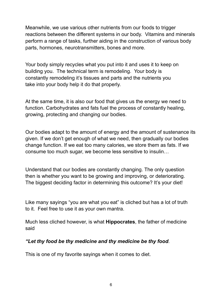Meanwhile, we use various other nutrients from our foods to trigger reactions between the different systems in our body. Vitamins and minerals perform a range of tasks, further aiding in the construction of various body parts, hormones, neurotransmitters, bones and more.

Your body simply recycles what you put into it and uses it to keep on building you. The technical term is remodeling. Your body is constantly remodeling it's tissues and parts and the nutrients you take into your body help it do that properly.

At the same time, it is also our food that gives us the energy we need to function. Carbohydrates and fats fuel the process of constantly healing, growing, protecting and changing our bodies.

Our bodies adapt to the amount of energy and the amount of sustenance its given. If we don't get enough of what we need, then gradually our bodies change function. If we eat too many calories, we store them as fats. If we consume too much sugar, we become less sensitive to insulin…

Understand that our bodies are constantly changing. The only question then is whether you want to be growing and improving, or deteriorating. The biggest deciding factor in determining this outcome? It's your diet!

Like many sayings "you are what you eat" is cliched but has a lot of truth to it. Feel free to use it as your own mantra.

Much less cliched however, is what **Hippocrates**, the father of medicine said

#### *"Let thy food be thy medicine and thy medicine be thy food*.

This is one of my favorite sayings when it comes to diet.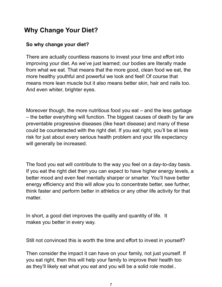## **Why Change Your Diet?**

#### **So why change your diet?**

There are actually countless reasons to invest your time and effort into improving your diet. As we've just learned; our bodies are literally made from what we eat. That means that the more good, clean food we eat, the more healthy youthful and powerful we look and feel! Of course that means more lean muscle but it also means better skin, hair and nails too. And even whiter, brighter eyes.

Moreover though, the more nutritious food you eat – and the less garbage – the better everything will function. The biggest causes of death by far are preventable progressive diseases (like heart disease) and many of these could be counteracted with the right diet. If you eat right, you'll be at less risk for just about every serious health problem and your life expectancy will generally be increased.

The food you eat will contribute to the way you feel on a day-to-day basis. If you eat the right diet then you can expect to have higher energy levels, a better mood and even feel mentally sharper or smarter. You'll have better energy efficiency and this will allow you to concentrate better, see further, think faster and perform better in athletics or any other life activity for that matter.

In short, a good diet improves the quality and quantity of life. It makes you better in every way.

Still not convinced this is worth the time and effort to invest in yourself?

Then consider the impact it can have on your family, not just yourself. If you eat right, then this will help your family to improve their health too as they'll likely eat what you eat and you will be a solid role model..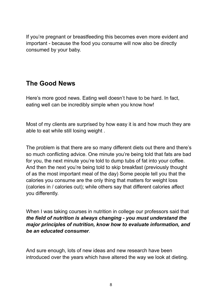If you're pregnant or breastfeeding this becomes even more evident and important - because the food you consume will now also be directly consumed by your baby.

## **The Good News**

Here's more good news. Eating well doesn't have to be hard. In fact, eating well can be incredibly simple when you know how!

Most of my clients are surprised by how easy it is and how much they are able to eat while still losing weight .

The problem is that there are so many different diets out there and there's so much conflicting advice. One minute you're being told that fats are bad for you, the next minute you're told to dump tubs of fat into your coffee. And then the next you're being told to skip breakfast (previously thought of as the most important meal of the day) Some people tell you that the calories you consume are the only thing that matters for weight loss (calories in / calories out); while others say that different calories affect you differently.

When I was taking courses in nutrition in college our professors said that *the field of nutrition is always changing - you must understand the major principles of nutrition, know how to evaluate information, and be an educated consumer*.

And sure enough, lots of new ideas and new research have been introduced over the years which have altered the way we look at dieting.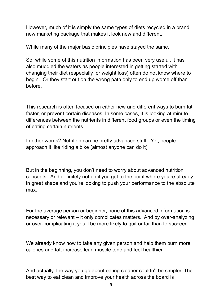However, much of it is simply the same types of diets recycled in a brand new marketing package that makes it look new and different.

While many of the major basic principles have stayed the same.

So, while some of this nutrition information has been very useful, it has also muddied the waters as people interested in getting started with changing their diet (especially for weight loss) often do not know where to begin. Or they start out on the wrong path only to end up worse off than before.

This research is often focused on either new and different ways to burn fat faster, or prevent certain diseases. In some cases, it is looking at minute differences between the nutrients in different food groups or even the timing of eating certain nutrients…

In other words? Nutrition can be pretty advanced stuff. Yet, people approach it like riding a bike (almost anyone can do it)

But in the beginning, you don't need to worry about advanced nutrition concepts. And definitely not until you get to the point where you're already in great shape and you're looking to push your performance to the absolute max.

For the average person or beginner, none of this advanced information is necessary or relevant – it only complicates matters. And by over-analyzing or over-complicating it you'll be more likely to quit or fail than to succeed.

We already know how to take any given person and help them burn more calories and fat, increase lean muscle tone and feel healthier.

And actually, the way you go about eating cleaner couldn't be simpler. The best way to eat clean and improve your health across the board is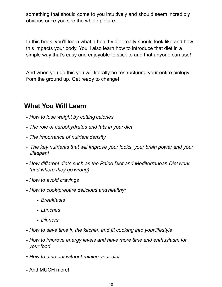something that should come to you intuitively and should seem incredibly obvious once you see the whole picture.

In this book, you'll learn what a healthy diet really should look like and how this impacts your body. You'll also learn how to introduce that diet in a simple way that's easy and enjoyable to stick to and that anyone can use!

And when you do this you will literally be restructuring your entire biology from the ground up. Get ready to change!

## **What You Will Learn**

- *How to lose weight by cutting calories*
- *The role of carbohydrates and fats in your diet*
- *The importance of nutrient density*
- *The key nutrients that will improve your looks, your brain power and your lifespan!*
- *How different diets such as the Paleo Diet and Mediterranean Diet work (and where they go wrong)*
- *How to avoid cravings*
- *How to cook/prepare delicious and healthy:*
	- *Breakfasts*
	- *Lunches*
	- *Dinners*
- *How to save time in the kitchen and fit cooking into yourlifestyle*
- *How to improve energy levels and have more time and enthusiasm for your food*
- *How to dine out without ruining your diet*
- And MUCH more!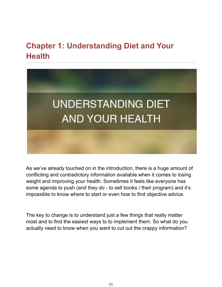## **Chapter 1: Understanding Diet and Your Health**



As we've already touched on in the introduction, there is a huge amount of conflicting and contradictory information available when it comes to losing weight and improving your health. Sometimes it feels like everyone has some agenda to push (and they do - to sell books / their program) and it's impossible to know where to start or even how to find objective advice.

The key to change is to understand just a few things that really matter most and to find the easiest ways to to implement them. So what do you actually need to know when you want to cut out the crappy information?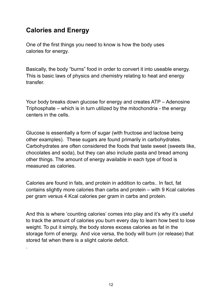## **Calories and Energy**

.

One of the first things you need to know is how the body uses calories for energy.

Basically, the body "burns" food in order to convert it into useable energy. This is basic laws of physics and chemistry relating to heat and energy transfer.

Your body breaks down glucose for energy and creates ATP – Adenosine Triphosphate – which is in turn utilized by the mitochondria - the energy centers in the cells.

Glucose is essentially a form of sugar (with fructose and lactose being other examples). These sugars are found primarily in carbohydrates. Carbohydrates are often considered the foods that taste sweet (sweets like, chocolates and soda), but they can also include pasta and bread among other things. The amount of energy available in each type of food is measured as calories.

Calories are found in fats, and protein in addition to carbs.. In fact, fat contains slightly more calories than carbs and protein – with 9 Kcal calories per gram versus 4 Kcal calories per gram in carbs and protein.

And this is where 'counting calories' comes into play and it's why it's useful to track the amount of calories you burn every day to learn how best to lose weight. To put it simply, the body stores excess calories as fat in the storage form of energy. And vice versa, the body will burn (or release) that stored fat when there is a slight calorie deficit.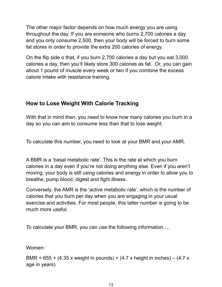The other major factor depends on how much energy you are using throughout the day. If you are someone who burns 2,700 calories a day and you only consume 2,500, then your body will be forced to burn some fat stores in order to provide the extra 200 calories of energy.

On the flip side o that, if you burn 2,700 calories a day but you eat 3,000 calories a day, then you'll likely store 300 calories as fat. Or, you can gain about 1 pound of muscle every week or two if you combine the excess calorie intake with resistance training.

#### **How to Lose Weight With Calorie Tracking**

With that in mind then, you need to know how many calories you burn in a day so you can aim to consume less than that to lose weight.

To calculate this number, you need to look at your BMR and your AMR.

A BMR is a 'basal metabolic rate'. This is the rate at which you burn calories in a day even if you're not doing anything else. Even if you aren't moving, your body is still using calories and energy in order to allow you to breathe, pump blood, digest and fight illness.

Conversely, the AMR is the 'active metabolic rate', which is the number of calories that you burn per day when you are engaging in your usual exercise and activities. For most people, this latter number is going to be much more useful.

To calculate your BMR, you can use the following information….

Women:

BMR =  $655 + (4.35 \times \text{weight in pounds}) + (4.7 \times \text{height in inches}) - (4.7 \times \text{height})$ age in years)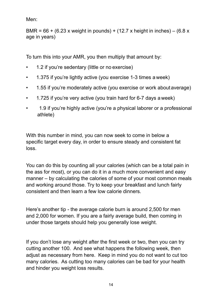Men:

BMR =  $66 + (6.23 \times \text{weight in pounds}) + (12.7 \times \text{height in inches}) - (6.8 \times \text{height})$ age in years)

To turn this into your AMR, you then multiply that amount by:

- 1.2 if you're sedentary (little or no exercise)
- 1.375 if you're lightly active (you exercise 1-3 times a week)
- 1.55 if you're moderately active (you exercise or work aboutaverage)
- 1.725 if you're very active (you train hard for 6-7 days a week)
- 1.9 if you're highly active (you're a physical laborer or a professional athlete)

With this number in mind, you can now seek to come in below a specific target every day, in order to ensure steady and consistent fat loss.

You can do this by counting all your calories (which can be a total pain in the ass for most), or you can do it in a much more convenient and easy manner – by calculating the calories of some of your most common meals and working around those. Try to keep your breakfast and lunch fairly consistent and then learn a few low calorie dinners.

Here's another tip - the average calorie burn is around 2,500 for men and 2,000 for women. If you are a fairly average build, then coming in under those targets should help you generally lose weight.

If you don't lose any weight after the first week or two, then you can try cutting another 100. And see what happens the following week, then adjust as necessary from here. Keep in mind you do not want to cut too many calories. As cutting too many calories can be bad for your health and hinder you weight loss results.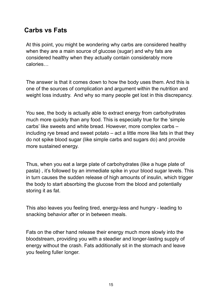## **Carbs vs Fats**

At this point, you might be wondering why carbs are considered healthy when they are a main source of glucose (sugar) and why fats are considered healthy when they actually contain considerably more calories…

The answer is that it comes down to how the body uses them. And this is one of the sources of complication and argument within the nutrition and weight loss industry. And why so many people get lost in this discrepancy.

You see, the body is actually able to extract energy from carbohydrates much more quickly than any food. This is especially true for the 'simple carbs' like sweets and white bread. However, more complex carbs – including rye bread and sweet potato – act a little more like fats in that they do not spike blood sugar (like simple carbs and sugars do) and provide more sustained energy.

Thus, when you eat a large plate of carbohydrates (like a huge plate of pasta) , it's followed by an immediate spike in your blood sugar levels. This in turn causes the sudden release of high amounts of insulin, which trigger the body to start absorbing the glucose from the blood and potentially storing it as fat.

This also leaves you feeling tired, energy-less and hungry - leading to snacking behavior after or in between meals.

Fats on the other hand release their energy much more slowly into the bloodstream, providing you with a steadier and longer-lasting supply of energy without the crash. Fats additionally sit in the stomach and leave you feeling fuller longer.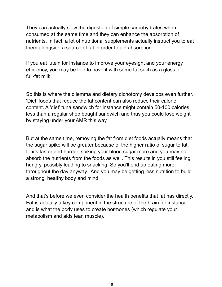They can actually slow the digestion of simple carbohydrates when consumed at the same time and they can enhance the absorption of nutrients. In fact, a lot of nutritional supplements actually instruct you to eat them alongside a source of fat in order to aid absorption.

If you eat lutein for instance to improve your eyesight and your energy efficiency, you may be told to have it with some fat such as a glass of full-fat milk!

So this is where the dilemma and dietary dichotomy develops even further. 'Diet' foods that reduce the fat content can also reduce their calorie content. A 'diet' tuna sandwich for instance might contain 50-100 calories less than a regular shop bought sandwich and thus you could lose weight by staying under your AMR this way.

But at the same time, removing the fat from diet foods actually means that the sugar spike will be greater because of the higher ratio of sugar to fat. It hits faster and harder, spiking your blood sugar more and you may not absorb the nutrients from the foods as well. This results in you still feeling hungry, possibly leading to snacking. So you'll end up eating more throughout the day anyway. And you may be getting less nutrition to build a strong, healthy body and mind.

And that's before we even consider the health benefits that fat has directly. Fat is actually a key component in the structure of the brain for instance and is what the body uses to create hormones (which regulate your metabolism and aids lean muscle).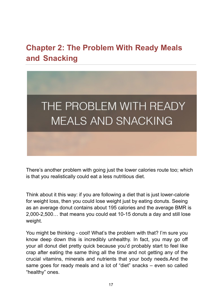## **Chapter 2: The Problem With Ready Meals and Snacking**



There's another problem with going just the lower calories route too; which is that you realistically could eat a less nutritious diet.

Think about it this way: if you are following a diet that is just lower-calorie for weight loss, then you could lose weight just by eating donuts. Seeing as an average donut contains about 195 calories and the average BMR is 2,000-2,500… that means you could eat 10-15 donuts a day and still lose weight.

You might be thinking - cool! What's the problem with that? I'm sure you know deep down this is incredibly unhealthy. In fact, you may go off your all donut diet pretty quick because you'd probably start to feel like crap after eating the same thing all the time and not getting any of the crucial vitamins, minerals and nutrients that your body needs.And the same goes for ready meals and a lot of "diet" snacks – even so called "healthy" ones.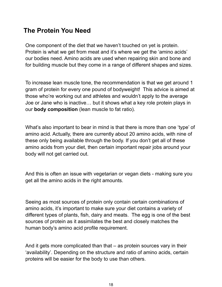## **The Protein You Need**

One component of the diet that we haven't touched on yet is protein. Protein is what we get from meat and it's where we get the 'amino acids' our bodies need. Amino acids are used when repairing skin and bone and for building muscle but they come in a range of different shapes and sizes.

To increase lean muscle tone, the recommendation is that we get around 1 gram of protein for every one pound of bodyweight! This advice is aimed at those who're working out and athletes and wouldn't apply to the average Joe or Jane who is inactive… but it shows what a key role protein plays in our **body composition** (lean muscle to fat ratio).

What's also important to bear in mind is that there is more than one 'type' of amino acid. Actually, there are currently about 20 amino acids, with nine of these only being available through the body. If you don't get all of these amino acids from your diet, then certain important repair jobs around your body will not get carried out.

And this is often an issue with vegetarian or vegan diets - making sure you get all the amino acids in the right amounts.

Seeing as most sources of protein only contain certain combinations of amino acids, it's important to make sure your diet contains a variety of different types of plants, fish, dairy and meats. The egg is one of the best sources of protein as it assimilates the best and closely matches the human body's amino acid profile requirement.

And it gets more complicated than that – as protein sources vary in their 'availability'. Depending on the structure and ratio of amino acids, certain proteins will be easier for the body to use than others.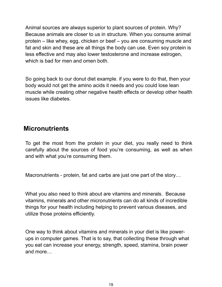Animal sources are always superior to plant sources of protein. Why? Because animals are closer to us in structure. When you consume animal protein – like whey, egg, chicken or beef – you are consuming muscle and fat and skin and these are all things the body can use. Even soy protein is less effective and may also lower testosterone and increase estrogen, which is bad for men and omen both.

So going back to our donut diet example. if you were to do that, then your body would not get the amino acids it needs and you could lose lean muscle while creating other negative health effects or develop other health issues like diabetes.

### **Micronutrients**

To get the most from the protein in your diet, you really need to think carefully about the sources of food you're consuming, as well as when and with what you're consuming them.

Macronutrients - protein, fat and carbs are just one part of the story…

What you also need to think about are vitamins and minerals. Because vitamins, minerals and other micronutrients can do all kinds of incredible things for your health including helping to prevent various diseases, and utilize those proteins efficiently.

One way to think about vitamins and minerals in your diet is like powerups in computer games. That is to say, that collecting these through what you eat can increase your energy, strength, speed, stamina, brain power and more…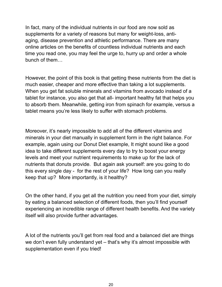In fact, many of the individual nutrients in our food are now sold as supplements for a variety of reasons but many for weight-loss, antiaging, disease prevention and athletic performance. There are many online articles on the benefits of countless individual nutrients and each time you read one, you may feel the urge to, hurry up and order a whole bunch of them…

However, the point of this book is that getting these nutrients from the diet is much easier, cheaper and more effective than taking a lot supplements. When you get fat soluble minerals and vitamins from avocado instead of a tablet for instance, you also get that all- important healthy fat that helps you to absorb them. Meanwhile, getting iron from spinach for example, versus a tablet means you're less likely to suffer with stomach problems.

Moreover, it's nearly impossible to add all of the different vitamins and minerals in your diet manually in supplement form in the right balance. For example, again using our Donut Diet example, It might sound like a good idea to take different supplements every day to try to boost your energy levels and meet your nutrient requirements to make up for the lack of nutrients that donuts provide. But again ask yourself: are you going to do this every single day - for the rest of your life? How long can you really keep that up? More importantly, is it healthy?

On the other hand, if you get all the nutrition you need from your diet, simply by eating a balanced selection of different foods, then you'll find yourself experiencing an incredible range of different health benefits. And the variety itself will also provide further advantages.

A lot of the nutrients you'll get from real food and a balanced diet are things we don't even fully understand yet – that's why it's almost impossible with supplementation even if you tried!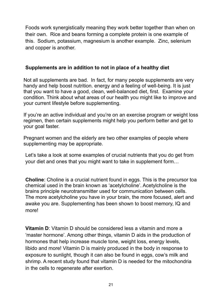Foods work synergistically meaning they work better together than when on their own. Rice and beans forming a complete protein is one example of this. Sodium, potassium, magnesium is another example. Zinc, selenium and copper is another.

#### **Supplements are in addition to not in place of a healthy diet**

Not all supplements are bad. In fact, for many people supplements are very handy and help boost nutrition. energy and a feeling of well-being. It is just that you want to have a good, clean, well-balanced diet, first. Examine your condition. Think about what areas of our health you might like to improve and your current lifestyle before supplementing.

If you're an active individual and you're on an exercise program or weight loss regimen, then certain supplements might help you perform better and get to your goal faster.

Pregnant women and the elderly are two other examples of people where supplementing may be appropriate.

Let's take a look at some examples of crucial nutrients that you do get from your diet and ones that you might want to take in supplement form…

**Choline**: Choline is a crucial nutrient found in eggs. This is the precursor toa chemical used in the brain known as 'acetylcholine'. Acetylcholine is the brains principle neurotransmitter used for communication between cells. The more acetylcholine you have in your brain, the more focused, alert and awake you are. Supplementing has been shown to boost memory, IQ and more!

**Vitamin D**: Vitamin D should be considered less a vitamin and more a 'master hormone'. Among other things, vitamin D aids in the production of hormones that help increase muscle tone, weight loss, energy levels, libido and more! Vitamin D is mainly produced in the body in response to exposure to sunlight, though it can also be found in eggs, cow's milk and shrimp. A recent study found that vitamin D is needed for the mitochondria in the cells to regenerate after exertion.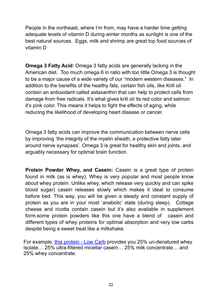People in the northeast, where I'm from, may have a harder time getting adequate levels of vitamin D during winter months as sunlight is one of the best natural sources. Eggs, milk and shrimp are great top food sources of vitamin D

**Omega 3 Fatty Acid**: Omega 3 fatty acids are generally lacking in the American diet. Too much omega 6 in ratio with too little Omega 3 is thought to be a major cause of a wide variety of our "modern western diseases." In addition to the benefits of the healthy fats, certain fish oils, like Krill oil contain an antioxidant called astaxanthin that can help to protect cells from damage from free radicals. It's what gives krill oil its red color and salmon it's pink color. This means it helps to fight the effects of aging, while reducing the likelihood of developing heart disease or cancer.

Omega 3 fatty acids can improve the communication between nerve cells by improving 'the integrity of the myelin sheath, a protective fatty later around nerve synapses'. Omega 3 is great for healthy skin and joints, and arguably necessary for optimal brain function.

**Protein Powder Whey, and Casein:** Casein is a great type of protein found in milk (as is whey). Whey is very popular and most people know about whey protein. Unlike whey, which release very quickly and can spike blood sugar) casein releases slowly which makes it ideal to consume before bed. This way, you will be given a steady and constant supply of protein as you are in your most 'anabolic' state (during sleep). Cottage cheese and ricotta contain casein but it's also available in supplement form.some protein powders like this one have a blend of casein and different types of whey proteins for optimal absorption and very low carbs despite being a sweet treat like a milkshake.

For example, [this protein - Low Carb](https://offers.biotrust.com/aff_c?offer_id=101&aff_id=1417&aff_sub=AS041320) provides you 25% un-denatured whey isolate… 25% ultra-filtered micellar casein… 25% milk concentrate… and 25% whey concentrate.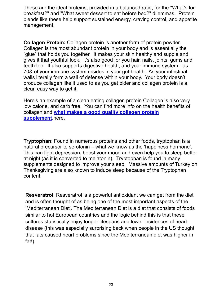These are the ideal proteins, provided in a balanced ratio, for the "What's for breakfast?" and "What sweet dessert to eat before bed?" dilemmas. Protein blends like these help support sustained energy, craving control, and appetite management.

**Collagen Protein:** Collagen protein is another form of protein powder. Collagen is the most abundant protein in your body and is essentially the "glue" that holds you together. It makes your skin healthy and supple and gives it that youthful look. it's also good for you hair, nails, joints, gums and teeth too. It also supports digestive health, and your immune system - as 70& of your immune system resides in your gut health. As your intestinal walls literally form a wall of defense within your body. Your body doesn't produce collagen like it used to as you get older and collagen protein is a clean easy way to get it.

Here's an example of a clean eating collagen protein Collagen is also very low calorie, and carb free. You can find more info on the health benefits of collagen and **[what makes a good quality collagen protein](https://offers.biotrust.com/aff_c?offer_id=79&aff_id=1417&aff_sub=AS041420)  [supplement](https://offers.biotrust.com/aff_c?offer_id=79&aff_id=1417&aff_sub=AS041420)**.here.

**Tryptophan**: Found in numerous proteins and other foods, tryptophan is a natural precursor to serotonin – what we know as the 'happiness hormone'. This can fight depression, boost your mood and even help you to sleep better at night (as it is converted to melatonin). Tryptophan is found in many supplements designed to improve your sleep. Massive amounts of Turkey on Thanksgiving are also known to induce sleep because of the Tryptophan content.

**Resveratrol**: Resveratrol is a powerful antioxidant we can get from the diet and is often thought of as being one of the most important aspects of the 'Mediterranean Diet'. The Mediterranean Diet is a diet that consists of foods similar to hot European countries and the logic behind this is that these cultures statistically enjoy longer lifespans and lower incidences of heart disease (this was especially surprising back when people in the US thought that fats caused heart problems since the Mediterranean diet was higher in fat!).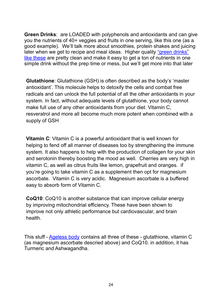**Green Drinks**: are LOADED with polyphenols and antioxidants and can give you the nutrients of 40+ veggies and fruits in one serving, [like this one](https://offers.biotrust.com/aff_c?offer_id=102&aff_id=1417&aff_sub=AS040320) (as a good example). We'll talk more about smoothies, protein shakes and juicing later when we get to recipe and meal ideas. Higher quality "green drinks" [like these](https://offers.biotrust.com/aff_c?offer_id=102&aff_id=1417&aff_sub=AS040320) are pretty clean and make it easy to get a ton of nutrients in one simple drink without the prep time or mess, but we'll get more into that later

**Glutathione**: Glutathione (GSH) is often described as the body's 'master antioxidant'. This molecule helps to detoxify the cells and combat free radicals and can unlock the full potential of all the other antioxidants in your system. In fact, without adequate levels of glutathione, your body cannot make full use of any other antioxidants from your diet. Vitamin C, resveratrol and more all become much more potent when combined with a supply of GSH

**Vitamin C**: Vitamin C is a powerful antioxidant that is well known for helping to fend off all manner of diseases too by strengthening the immune system. It also happens to help with the production of collagen for your skin and serotonin thereby boosting the mood as well. Cherries are very high in vitamin C, as well as citrus fruits like lemon, grapefruit and oranges. if you're going to take vitamin C as a supplement then opt for magnesium ascorbate. Vitamin C is very acidic. Magnesium ascorbate is a buffered easy to absorb form of Vitamin C.

**CoQ10**: CoQ10 is another substance that ican improve cellular energy by improving mitochondrial efficiency. These have been shown to improve not only athletic performance but cardiovascular, and brain health.

This stuff - [Ageless body](https://offers.biotrust.com/aff_c?offer_id=105&aff_id=1417&aff_sub=AS041320) contains all three of these - glutathione, vitamin C (as magnesium ascorbate descried above) and CoQ10. in addition, it has Turmeric and Ashwagandha.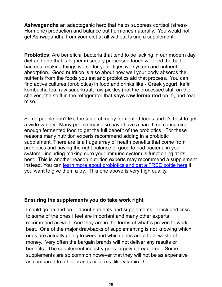**Ashwagandha** an adaptogenic herb that helps suppress cortisol (stress-Hormone) production and balance out hormones naturally. You would not get Ashwagandha from your diet at all without taking a supplement.

**Probiotics:** Are beneficial bacteria that tend to be lacking in our modern day diet and one that is higher in sugary processed foods will feed the bad bacteria, making things worse for your digestive system and nutrient absorption. Good nutrition is also about how well your body absorbs the nutrients from the foods you eat and probiotics aid that process. You can find active cultures (probiotics) in food and drinks like - Greek yogurt, kefir, kombucha tea, raw sauerkraut, raw pickles (not the processed stuff on the shelves, the stuff in the refrigerator that **says raw fermented** on it), and real miso.

Some people don't like the taste of many fermented foods and it's best to get a wide variety. Many people may also have have a hard time consuming enough fermented food to get the full benefit of the probiotics. For these reasons many nutrition experts recommend adding in a probiotic supplement. There are is a huge array of health benefits that come from probiotics and having the right balance of good to bad bacteria in your system - including making sure your immune system is functioning at its best. This is another reason nutrition experts may recommend a supplement instead. You can [learn more about probiotics and get a FREE bottle here](https://offers.biotrust.com/aff_c?offer_id=2&aff_id=1417&source=AS040320) if you want to give them a try. This one above is very high quality.

#### **Ensuring the supplements you do take work right**

I could go on and on… about nutrients and supplements. I included links to some of the ones I feel are important and many other experts recommend as well. And they are in the forms of what''s proven to work best. One of the major drawbacks of supplementing is not knowing which ones are actually going to work and which ones are a total waste of money. Very often the bargain brands will not deliver any results or benefits. The supplement industry goes largely unregulated. Some supplements are so common however that they will not be as expensive as compared to other brands or forms, like vitamin D.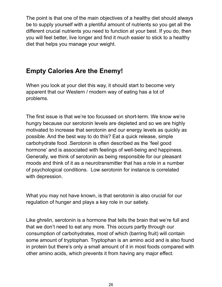The point is that one of the main objectives of a healthy diet should always be to supply yourself with a plentiful amount of nutrients so you get all the different crucial nutrients you need to function at your best. If you do, then you will feel better, live longer and find it much easier to stick to a healthy diet that helps you manage your weight.

## **Empty Calories Are the Enemy!**

When you look at your diet this way, it should start to become very apparent that our Western / modern way of eating has a lot of problems.

The first issue is that we're too focussed on short-term. We know we're hungry because our serotonin levels are depleted and so we are highly motivated to increase that serotonin and our energy levels as quickly as possible. And the best way to do this? Eat a quick release, simple carbohydrate food .Serotonin is often described as the 'feel good hormone' and is associated with feelings of well-being and happiness. Generally, we think of serotonin as being responsible for our pleasant moods and think of it as a neurotransmitter that has a role in a number of psychological conditions. Low serotonin for instance is correlated with depression.

What you may not have known, is that serotonin is also crucial for our regulation of hunger and plays a key role in our satiety.

Like ghrelin, serotonin is a hormone that tells the brain that we're full and that we don't need to eat any more. This occurs partly through our consumption of carbohydrates, most of which (barring fruit) will contain some amount of tryptophan. Tryptophan is an amino acid and is also found in protein but there's only a small amount of it in most foods compared with other amino acids, which prevents it from having any major effect.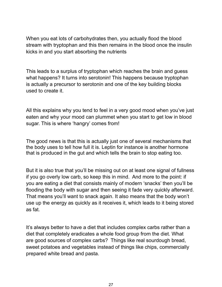When you eat lots of carbohydrates then, you actually flood the blood stream with tryptophan and this then remains in the blood once the insulin kicks in and you start absorbing the nutrients

This leads to a surplus of tryptophan which reaches the brain and guess what happens? It turns into serotonin! This happens because tryptophan is actually a precursor to serotonin and one of the key building blocks used to create it.

All this explains why you tend to feel in a very good mood when you've just eaten and why your mood can plummet when you start to get low in blood sugar. This is where 'hangry' comes from!

The good news is that this is actually just one of several mechanisms that the body uses to tell how full it is. Leptin for instance is another hormone that is produced in the gut and which tells the brain to stop eating too.

But it is also true that you'll be missing out on at least one signal of fullness if you go overly low carb, so keep this in mind. And more to the point: if you are eating a diet that consists mainly of modern 'snacks' then you'll be flooding the body with sugar and then seeing it fade very quickly afterward. That means you'll want to snack again. It also means that the body won't use up the energy as quickly as it receives it, which leads to it being stored as fat.

It's always better to have a diet that includes complex carbs rather than a diet that completely eradicates a whole food group from the diet. What are good sources of complex carbs? Things like real sourdough bread, sweet potatoes and vegetables instead of things like chips, commercially prepared white bread and pasta.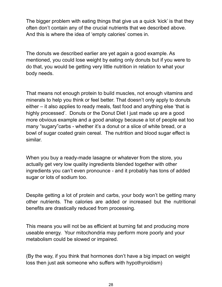The bigger problem with eating things that give us a quick 'kick' is that they often don't contain any of the crucial nutrients that we described above. And this is where the idea of 'empty calories' comes in.

The donuts we described earlier are yet again a good example. As mentioned, you could lose weight by eating only donuts but if you were to do that, you would be getting very little nutrition in relation to what your body needs.

That means not enough protein to build muscles, not enough vitamins and minerals to help you think or feel better. That doesn't only apply to donuts either – it also applies to ready meals, fast food and anything else 'that is highly processed'. Donuts or the Donut Diet I just made up are a good more obvious example and a good analogy because a lot of people eat too many "sugary"carbs - whether it's a donut or a slice of white bread, or a bowl of sugar coated grain cereal. The nutrition and blood sugar effect is similar.

When you buy a ready-made lasagne or whatever from the store, you actually get very low quality ingredients blended together with other ingredients you can't even pronounce - and it probably has tons of added sugar or lots of sodium too.

Despite getting a lot of protein and carbs, your body won't be getting many other nutrients. The calories are added or increased but the nutritional benefits are drastically reduced from processing.

This means you will not be as efficient at burning fat and producing more useable energy. Your mitochondria may perform more poorly and your metabolism could be slowed or impaired.

(By the way, if you think that hormones don't have a big impact on weight loss then just ask someone who suffers with hypothyroidism)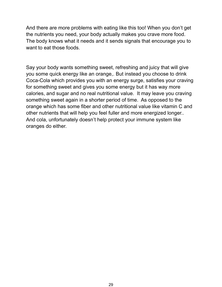And there are more problems with eating like this too! When you don't get the nutrients you need, your body actually makes you crave more food. The body knows what it needs and it sends signals that encourage you to want to eat those foods.

Say your body wants something sweet, refreshing and juicy that will give you some quick energy like an orange,. But instead you choose to drink Coca-Cola which provides you with an energy surge, satisfies your craving for something sweet and gives you some energy but it has way more calories, and sugar and no real nutritional value. It may leave you craving something sweet again in a shorter period of time. As opposed to the orange which has some fiber and other nutritional value like vitamin C and other nutrients that will help you feel fuller and more energized longer.. And cola, unfortunately doesn't help protect your immune system like oranges do either.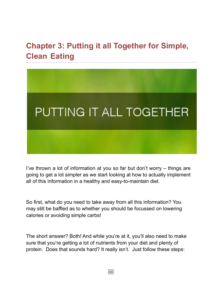## **Chapter 3: Putting it all Together for Simple, Clean Eating**



I've thrown a lot of information at you so far but don't worry – things are going to get a lot simpler as we start looking at how to actually implement all of this information in a healthy and easy-to-maintain diet.

So first, what do you need to take away from all this information? You may still be baffled as to whether you should be focussed on lowering calories or avoiding simple carbs!

The short answer? Both! And while you're at it, you'll also need to make sure that you're getting a lot of nutrients from your diet and plenty of protein. Does that sounds hard? It really isn't. Just follow these steps: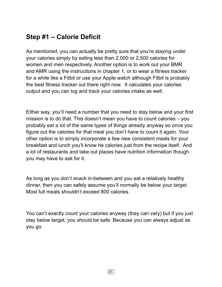## **Step #1 – Calorie Deficit**

As mentioned, you can actually be pretty sure that you're staying under your calories simply by eating less than 2,000 or 2,500 calories for women and men respectively. Another option is to work out your BMR and AMR using the instructions in chapter 1, or to wear a fitness tracker for a while like a Fitbit or use your Apple watch although Fitbit is probably the best fitness tracker out there right now. It calculates your calories output and you can log and track your calories intake as well.

Either way, you'll need a number that you need to stay below and your first mission is to do that. This doesn't mean you have to count calories – you probably eat a lot of the same types of things already anyway so once you figure out the calories for that meal you don't have to count it again. Your other option is to simply incorporate a few new consistent meals for your breakfast and lunch you'll know he calories just from the recipe itself. And a lot of restaurants and take out places have nutrition information though you may have to ask for it.

As long as you don't snack in-between and you eat a relatively healthy dinner, then you can safely assume you'll normally be below your target. Most full meals shouldn't exceed 800 calories.

You can't exactly count your calories anyway (they can vary) but if you just stay below target, you should be safe. Because you can always adjust as you go.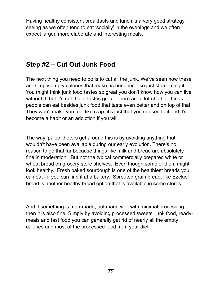Having healthy consistent breakfasts and lunch is a very good strategy seeing as we often tend to eat 'socially' in the evenings and we often expect larger, more elaborate and interesting meals.

### **Step #2 – Cut Out Junk Food**

The next thing you need to do is to cut all the junk. We've seen how these are simply empty calories that make us hungrier – so just stop eating it! You might think junk food tastes so great you don't know how you can live without it, but it's not that it tastes great. There are a lot of other things people can eat besides junk food that taste even better and on top of that. They won't make you feel like crap. it's just that you're used to it and it's become a habit or an addiction if you will.

The way 'paleo' dieters get around this is by avoiding anything that wouldn't have been available during our early evolution. There's no reason to go that far because things like milk and bread are absolutely fine in moderation. But not the typical commercially prepared white or wheat bread on grocery store shelves. Even though some of them might look healthy. Fresh baked sourdough is one of the healthiest breads you can eat - if you can find it at a bakery. Sprouted grain bread, like Ezekiel bread is another healthy bread option that is available in some stores.

And if something is man-made, but made well with minimal processing then it is also fine. Simply by avoiding processed sweets, junk food, readymeals and fast food you can generally get rid of nearly all the empty calories and most of the processed food from your diet.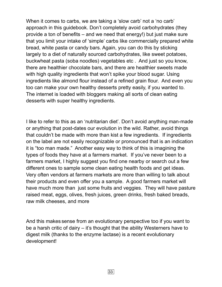When it comes to carbs, we are taking a 'slow carb' not a 'no carb' approach in this guidebook. Don't completely avoid carbohydrates (they provide a ton of benefits – and we need that energy!) but just make sure that you limit your intake of 'simple' carbs like commercially prepared white bread, white pasta or candy bars. Again, you can do this by sticking largely to a diet of naturally sourced carbohydrates, like sweet potatoes, buckwheat pasta (soba noodles) vegetables etc . And just so you know, there are healthier chocolate bars, and there are healthier sweets made with high quality ingredients that won't spike your blood sugar. Using ingredients like almond flour instead of a refined grain flour. And even you too can make your own healthy desserts pretty easily, if you wanted to. The internet is loaded with bloggers making all sorts of clean eating desserts with super healthy ingredients.

I like to refer to this as an 'nutritarian diet'. Don't avoid anything man-made or anything that post-dates our evolution in the wild. Rather, avoid things that couldn't be made with more than kist a few ingredients. If ingredients on the label are not easily recognizable or pronounced that is an indication it is "too man made." Another easy way to think of this is imagining the types of foods they have at a farmers market. If you've never been to a farmers market, I highly suggest you find one nearby or search out a few different ones to sample some clean eating health foods and get ideas. Very often vendors at farmers markets are more than willing to talk about their products and even offer you a sample. A good farmers market will have much more than just some fruits and veggies. They will have pasture raised meat, eggs, olives, fresh juices, green drinks, fresh baked breads, raw milk cheeses, and more

And this makes sense from an evolutionary perspective too if you want to be a harsh critic of dairy – it's thought that the ability Westerners have to digest milk (thanks to the enzyme lactase) is a recent evolutionary development!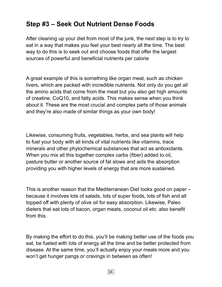## **Step #3 – Seek Out Nutrient Dense Foods**

After cleaning up your diet from most of the junk, the next step is to try to eat in a way that makes you feel your best nearly all the time. The best way to do this is to seek out and choose foods that offer the largest sources of powerful and beneficial nutrients per calorie

A great example of this is something like organ meat, such as chicken livers, which are packed with incredible nutrients. Not only do you get all the amino acids that come from the meat but you also get high amounts of creatine, CoQ10, and fatty acids. This makes sense when you think about it. These are the most crucial and complex parts of those animals and they're also made of similar things as your own body!

Likewise, consuming fruits, vegetables, herbs, and sea plants will help to fuel your body with all kinds of vital nutrients like vitamins, trace minerals and other phytochemical substances that act as antioxidants. When you mix all this together complex carbs (fiber) added to oil, pasture butter or another source of fat slows and aids the absorption providing you with higher levels of energy that are more sustained.

This is another reason that the Mediterranean Diet looks good on paper – because it involves lots of salads, lots of super foods, lots of fish and all topped off with plenty of olive oil for easy absorption. Likewise, Paleo dieters that eat lots of bacon, organ meats, coconut oil etc. also benefit from this.

By making the effort to do this, you'll be making better use of the foods you eat, be fueled with lots of energy all the time and be better protected from disease. At the same time, you'll actually enjoy your meals more and you won't get hunger pangs or cravings in between as often!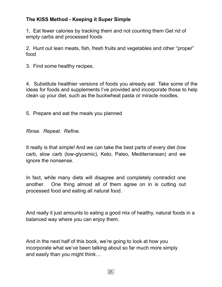#### **The KISS Method - Keeping it Super Simple**

1, Eat fewer calories by tracking them and not counting them Get rid of empty carbs and processed foods

2. Hunt out lean meats, fish, fresh fruits and vegetables and other "proper" food

3. Find some healthy recipes.

4. Substitute healthier versions of foods you already eat Take some of the ideas for foods and supplements I've provided and incorporate those to help clean up your diet, such as the buckwheat pasta or miracle noodles.

5. Prepare and eat the meals you planned

*Rinse. Repeat. Refine.* 

It really is that simple! And we can take the best parts of every diet (low carb, slow carb (low-glycemic), Keto, Paleo, Mediterranean) and we ignore the nonsense.

In fact, while many diets will disagree and completely contradict one another. One thing almost all of them agree on in is cutting out processed food and eating all natural food.

And really it just amounts to eating a good mix of healthy, natural foods in a balanced way where you can enjoy them.

And in the next half of this book, we're going to look at how you incorporate what we've been talking about so far much more simply and easily than you might think…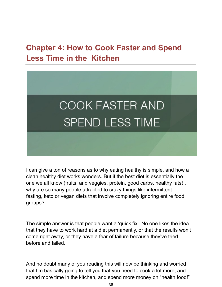## **Chapter 4: How to Cook Faster and Spend Less Time in the Kitchen**



I can give a ton of reasons as to why eating healthy is simple, and how a clean healthy diet works wonders. But if the best diet is essentially the one we all know (fruits, and veggies, protein, good carbs, healthy fats) , why are so many people attracted to crazy things like intermittent fasting, keto or vegan diets that involve completely ignoring entire food groups?

The simple answer is that people want a 'quick fix'. No one likes the idea that they have to work hard at a diet permanently, or that the results won't come right away, or they have a fear of failure because they've tried before and failed.

And no doubt many of you reading this will now be thinking and worried that I'm basically going to tell you that you need to cook a lot more, and spend more time in the kitchen, and spend more money on "health food!"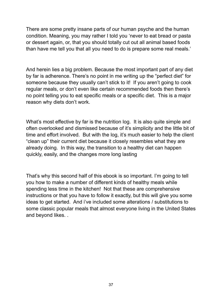There are some pretty insane parts of our human psyche and the human condition. Meaning, you may rather I told you 'never to eat bread or pasta or dessert again, or, that you should totally cut out all animal based foods than have me tell you that all you need to do is prepare some real meals.'

And herein lies a big problem. Because the most important part of any diet by far is adherence. There's no point in me writing up the "perfect diet" for someone because they usually can't stick to it! If you aren't going to cook regular meals, or don't even like certain recommended foods then there's no point telling you to eat specific meals or a specific diet. This is a major reason why diets don't work.

What's most effective by far is the nutrition log. It is also quite simple and often overlooked and dismissed because of it's simplicity and the little bit of time and effort involved. But with the log, it's much easier to help the client "clean up" their current diet because it closely resembles what they are already doing. In this way, the transition to a healthy diet can happen quickly, easily, and the changes more long lasting

That's why this second half of this ebook is so important. I'm going to tell you how to make a number of different kinds of healthy meals while spending less time in the kitchen! Not that these are comprehensive instructions or that you have to follow it exactly, but this will give you some ideas to get started. And i've included some alterations / substitutions to some classic popular meals that almost everyone living in the United States and beyond likes. .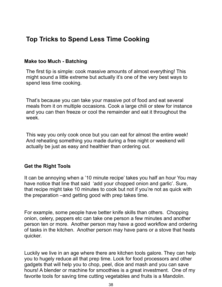## **Top Tricks to Spend Less Time Cooking**

#### **Make too Much - Batching**

The first tip is simple: cook massive amounts of almost everything! This might sound a little extreme but actually it's one of the very best ways to spend less time cooking.

That's because you can take your massive pot of food and eat several meals from it on multiple occasions. Cook a large chili or stew for instance and you can then freeze or cool the remainder and eat it throughout the week.

This way you only cook once but you can eat for almost the entire week! And reheating something you made during a free night or weekend will actually be just as easy and healthier than ordering out.

#### **Get the Right Tools**

It can be annoying when a '10 minute recipe' takes you half an hour You may have notice that line that said 'add your chopped onion and garlic'. Sure, that recipe might take 10 minutes to cook but not if you're not as quick with the preparation –and getting good with prep takes time.

For example, some people have better knife skills than others. Chopping onion, celery, peppers etc can take one person a few minutes and another person ten or more. Another person may have a good workflow and ordering of tasks in the kitchen. Another person may have pans or a stove that heats quicker.

Luckily we live in an age where there are kitchen tools galore. They can help you to hugely reduce all that prep time. Look for food processors and other gadgets that will help you to chop, peel, dice and mash and you can save hours! A blender or machine for smoothies is a great investment. One of my favorite tools for saving time cutting vegetables and fruits is a Mandolin.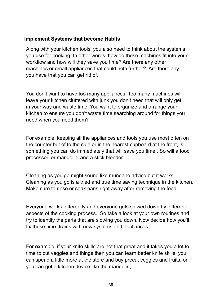#### **Implement Systems that become Habits**

Along with your kitchen tools, you also need to think about the systems you use for cooking. In other words, how do these machines fit into your workflow and how will they save you time? Are there any other machines or small appliances that could help further? Are there any you have that you can get rid of.

You don't want to have too many appliances. Too many machines will leave your kitchen cluttered with junk you don't need that will only get in your way and waste time. You want to organize and arrange your kitchen to ensure you don't waste time searching around for things you need when you need them?

For example, keeping all the appliances and tools you use most often on the counter but of to the side or in the nearest cupboard at the front, is something you can do immediately that will save you time.. So will a food processor, or mandolin, and a stick blender.

Cleaning as you go might sound like mundane advice but it works. Cleaning as you go is a tried and true time saving technique in the kitchen. Make sure to rinse or soak pans right away after removing the food.

Everyone works differently and everyone gets slowed down by different aspects of the cooking process. So take a look at your own routines and try to identify the parts that are slowing you down. Now decide how you'll fix these time drains with new systems and appliances.

For example, if your knife skills are not that great and it takes you a lot fo time to cut veggies and things then you can learn better knife skills, you can spend a little more at the store and buy precut veggies and fruits, or you can get a kitchen device like the mandolin,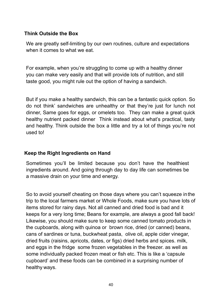### **Think Outside the Box**

We are greatly self-limiting by our own routines, culture and expectations when it comes to what we eat.

For example, when you're struggling to come up with a healthy dinner you can make very easily and that will provide lots of nutrition, and still taste good, you might rule out the option of having a sandwich.

But if you make a healthy sandwich, this can be a fantastic quick option. So do not think' sandwiches are unhealthy or that they're just for lunch not dinner, Same goes for eggs, or omelets too. They can make a great quick healthy nutrient packed dinner Think instead about what's practical, tasty and healthy. Think outside the box a little and try a lot of things you're not used to!

#### **Keep the Right Ingredients on Hand**

Sometimes you'll be limited because you don't have the healthiest ingredients around. And going through day to day life can sometimes be a massive drain on your time and energy.

So to avoid yourself cheating on those days where you can't squeeze inthe trip to the local farmers market or Whole Foods, make sure you have lots of items stored for rainy days. Not all canned and dried food is bad and it keeps for a very long time; Beans for example, are always a good fall back! Likewise, you should make sure to keep some canned tomato products in the cupboards, along with quinoa or brown rice, dried (or canned) beans, cans of sardines or tuna, buckwheat pasta, olive oil, apple cider vinegar, dried fruits (raisins, apricots, dates, or figs) dried herbs and spices. milk, and eggs in the fridge some frozen vegetables in the freezer. as well as some individually packed frozen meat or fish etc. This is like a 'capsule cupboard' and these foods can be combined in a surprising number of healthy ways.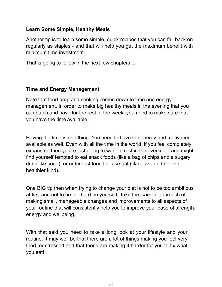### **Learn Some Simple, Healthy Meals**

Another tip is to learn some simple, quick recipes that you can fall back on regularly as staples - and that will help you get the maximum benefit with minimum time investment.

That is going to follow in the next few chapters…

## **Time and Energy Management**

Note that food prep and cooking comes down to time and energy management. In order to make big healthy meals in the evening that you can batch and have for the rest of the week, you need to make sure that you have the time available.

Having the time is one thing. You need to have the energy and motivation available as well. Even with all the time in the world, if you feel completely exhausted then you're just going to want to rest in the evening – and might find yourself tempted to eat snack foods (like a bag of chips and a sugary drink like soda), or order fast food for take out (like pizza and not the healthier kind).

One BIG tip then when trying to change your diet is not to be too ambitious at first and not to be too hard on yourself. Take the 'kaizen' approach of making small, manageable changes and improvements to all aspects of your routine that will consistently help you to improve your base of strength, energy and wellbeing.

With that said you need to take a long look at your lifestyle and your routine. It may well be that there are a lot of things making you feel very tired, or stressed and that these are making it harder for you to fix what you eat!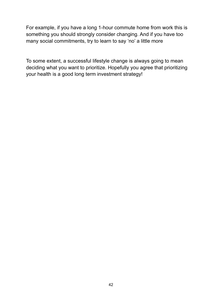For example, if you have a long 1-hour commute home from work this is something you should strongly consider changing. And if you have too many social commitments, try to learn to say 'no' a little more

To some extent, a successful lifestyle change is always going to mean deciding what you want to prioritize. Hopefully you agree that prioritizing your health is a good long term investment strategy!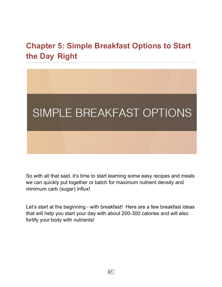# **Chapter 5: Simple Breakfast Options to Start the Day Right**



So with all that said, it's time to start learning some easy recipes and meals we can quickly put together or batch for maximum nutrient density and minimum carb (sugar) influx!

Let's start at the beginning - with breakfast! Here are a few breakfast ideas that will help you start your day with about 200-300 calories and will also fortify your body with nutrients!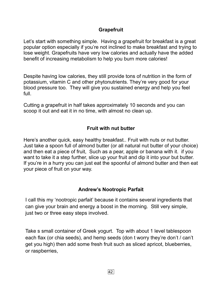## **Grapefruit**

Let's start with something simple. Having a grapefruit for breakfast is a great popular option especially if you're not inclined to make breakfast and trying to lose weight. Grapefruits have very low calories and actually have the added benefit of increasing metabolism to help you burn more calories!

Despite having low calories, they still provide tons of nutrition in the form of potassium, vitamin C and other phytonutrients. They're very good for your blood pressure too. They will give you sustained energy and help you feel full.

Cutting a grapefruit in half takes approximately 10 seconds and you can scoop it out and eat it in no time, with almost no clean up.

## **Fruit with nut butter**

Here's another quick, easy healthy breakfast.. Fruit with nuts or nut butter. Just take a spoon full of almond butter (or all natural nut butter of your choice) and then eat a piece of fruit, Such as a pear, apple or banana with it. if you want to take it a step further, slice up your fruit and dip it into your but butter. If you're in a hurry you can just eat the spoonful of almond butter and then eat your piece of fruit on your way.

## **Andrew's Nootropic Parfait**

I call this my 'nootropic parfait' because it contains several ingredients that can give your brain and energy a boost in the morning. Still very simple, just two or three easy steps involved.

Take s small container of Greek yogurt. Top with about 1 level tablespoon each flax (or chia seeds), and hemp seeds (don t worry they're don't / can't get you high) then add some fresh fruit such as sliced apricot, blueberries, or raspberries,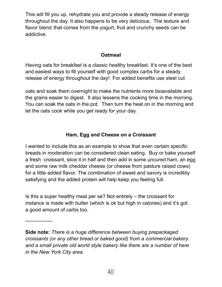This will fill you up, rehydrate you and provide a steady release of energy throughout the day. It also happens to be very delicious. The texture and flavor blend that comes from the yogurt, fruit and crunchy seeds can be addictive.

#### **Oatmeal**

Having oats for breakfast is a classic healthy breakfast. It's one of the best and easiest ways to fill yourself with good complex carbs for a steady release of energy throughout the day! For added benefits use steel cut

oats and soak them overnight to make the nutrients more bioavailable and the grains easier to digest. It also lessens the cooking time in the morning. You can soak the oats in the pot. Then turn the heat on in the morning and let the oats cook while you get ready for your day.

## **Ham, Egg and Cheese on a Croissant**

I wanted to include this as an example to show that even certain specific breads in moderation can be considered clean eating. Buy or bake yourself a fresh croissant, slice it in half and then add in some uncured ham, an egg and some raw milk cheddar cheese (or cheese from pasture raised cows) for a little added flavor. The combination of sweet and savory is incredibly satisfying and the added protein will help keep you feeling full.

Is this a super healthy meal per se? Not entirely – the croissant for instance is made with butter (which is ok but high in calories) and it's got a good amount of carbs too.

—————-

**Side note:** *There is a huge difference between buying prepackaged croissants (or any other bread or baked good) from a commercial bakery and a small private old world style bakery like there are a number of here in the New York City area.*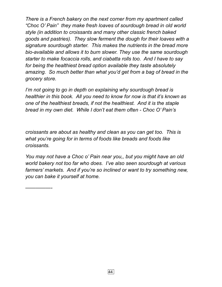*There is a French bakery on the next corner from my apartment called "Choc O' Pain" they make fresh loaves of sourdough bread in old world style (in addition to croissants and many other classic french baked goods and pastries). They slow ferment the dough for their loaves with a signature sourdough starter. This makes the nutrients in the bread more bio-available and allows it to burn slower. They use the same sourdough starter to make focaccia rolls, and ciabatta rolls too. And I have to say for being the healthiest bread option available they taste absolutely amazing. So much better than what you'd get from a bag of bread in the grocery store.* 

*I'm not going to go in depth on explaining why sourdough bread is healthier in this book. All you need to know for now is that it's known as one of the healthiest breads, if not the healthiest. And it is the staple bread in my own diet. While I don't eat them often - Choc O' Pain's* 

*croissants are about as healthy and clean as you can get too. This is what you're going for in terms of foods like breads and foods like croissants.* 

*You may not have a Choc o' Pain near you,, but you might have an old world bakery not too far who does. I've also seen sourdough at various farmers' markets. And if you're so inclined or want to try something new, you can bake it yourself at home.* 

*—————-*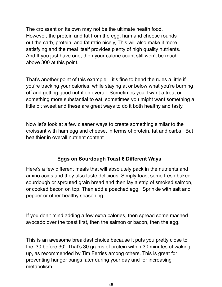The croissant on its own may not be the ultimate health food. However, the protein and fat from the egg, ham and cheese rounds out the carb, protein, and fat ratio nicely, This will also make it more satisfying and the meal itself provides plenty of high quality nutrients. And If you just have one, then your calorie count still won't be much above 300 at this point.

That's another point of this example – it's fine to bend the rules a little if you're tracking your calories, while staying at or below what you're burning off and getting good nutrition overall. Sometimes you'll want a treat or something more substantial to eat, sometimes you might want something a little bit sweet and these are great ways to do it both healthy and tasty.

Now let's look at a few cleaner ways to create something similar to the croissant with ham egg and cheese, in terms of protein, fat and carbs. But healthier in overall nutrient content

## **Eggs on Sourdough Toast 6 Different Ways**

Here's a few different meals that will absolutely pack in the nutrients and amino acids and they also taste delicious. Simply toast some fresh baked sourdough or sprouted grain bread and then lay a strip of smoked salmon, or cooked bacon on top. Then add a poached egg. Sprinkle with salt and pepper or other healthy seasoning.

If you don't mind adding a few extra calories, then spread some mashed avocado over the toast first, then the salmon or bacon, then the egg.

This is an awesome breakfast choice because it puts you pretty close to the '30 before 30'. That's 30 grams of protein within 30 minutes of waking up, as recommended by Tim Ferriss among others. This is great for preventing hunger pangs later during your day and for increasing metabolism.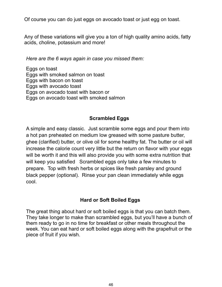Of course you can do just eggs on avocado toast or just egg on toast.

Any of these variations will give you a ton of high quality amino acids, fatty acids, choline, potassium and more!

*Here are the 6 ways again in case you missed them:* 

Eggs on toast Eggs with smoked salmon on toast Eggs with bacon on toast Eggs with avocado toast Eggs on avocado toast with bacon or Eggs on avocado toast with smoked salmon

## **Scrambled Eggs**

A simple and easy classic. Just scramble some eggs and pour them into a hot pan preheated on medium low greased with some pasture butter, ghee (clarified) butter, or olive oil for some healthy fat. The butter or oil will increase the calorie count very little but the return on flavor with your eggs will be worth it and this will also provide you with some extra nutrition that will keep you satisfied Scrambled eggs only take a few minutes to prepare. Top with fresh herbs or spices like fresh parsley and ground black pepper (optional). Rinse your pan clean immediately while eggs cool.

## **Hard or Soft Boiled Eggs**

The great thing about hard or soft boiled eggs is that you can batch them. They take longer to make than scrambled eggs, but you'll have a bunch of them ready to go in no time for breakfast or other meals throughout the week. You can eat hard or soft boiled eggs along with the grapefruit or the piece of fruit if you wish.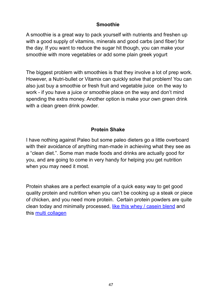#### **Smoothie**

A smoothie is a great way to pack yourself with nutrients and freshen up with a good supply of vitamins, minerals and good carbs (and fiber) for the day. If you want to reduce the sugar hit though, you can make your smoothie with more vegetables or add some plain greek yogurt

The biggest problem with smoothies is that they involve a lot of prep work. However, a Nutri-bullet or Vitamix can quickly solve that problem! You can also just buy a smoothie or fresh fruit and vegetable juice on the way to work - if you have a juice or smoothie place on the way and don't mind spending the extra money. Another option is make your own green drink with a clean green drink powder.

## **Protein Shake**

I have nothing against Paleo but some paleo dieters go a little overboard with their avoidance of anything man-made in achieving what they see as a "clean diet.". Some man made foods and drinks are actually good for you, and are going to come in very handy for helping you get nutrition when you may need it most.

Protein shakes are a perfect example of a quick easy way to get good quality protein and nutrition when you can't be cooking up a steak or piece of chicken, and you need more protein. Certain protein powders are quite clean today and minimally processed, [like this whey / casein blend](https://offers.biotrust.com/aff_c?offer_id=101&aff_id=1417&aff_sub=AS041320) and this [multi collagen](https://offers.biotrust.com/aff_c?offer_id=15&aff_id=1417&aff_sub=AS041420)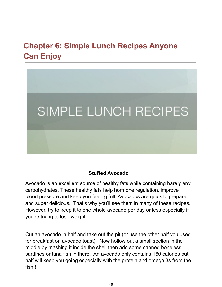# **Chapter 6: Simple Lunch Recipes Anyone Can Enjoy**



### **Stuffed Avocado**

Avocado is an excellent source of healthy fats while containing barely any carbohydrates, These healthy fats help hormone regulation, improve blood pressure and keep you feeling full. Avocados are quick to prepare and super delicious. That's why you'll see them in many of these recipes. However, try to keep it to one whole avocado per day or less especially if you're trying to lose weight.

Cut an avocado in half and take out the pit (or use the other half you used for breakfast on avocado toast). Now hollow out a small section in the middle by mashing it inside the shell then add some canned boneless sardines or tuna fish in there. An avocado only contains 160 calories but half will keep you going especially with the protein and omega 3s from the fish.!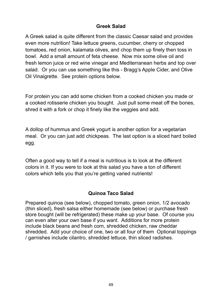### **Greek Salad**

A Greek salad is quite different from the classic Caesar salad and provides even more nutrition! Take lettuce greens, cucumber, cherry or chopped tomatoes, red onion, kalamata olives, and chop them up finely then toss in bowl. Add a small amount of feta cheese. Now mix some olive oil and fresh lemon juice or red wine vinegar and Mediterranean herbs and top over salad. Or you can use something like this - Bragg's Apple Cider, and Olive Oil Vinaigrette. See protein options below.

For protein you can add some chicken from a cooked chicken you made or a cooked rotisserie chicken you bought. Just pull some meat off the bones, shred it with a fork or chop it finely like the veggies and add.

A dollop of hummus and Greek yogurt is another option for a vegetarian meal. Or you can just add chickpeas. The last option is a sliced hard boiled egg.

Often a good way to tell if a meal is nutritious is to look at the different colors in it. If you were to look at this salad you have a ton of different colors which tells you that you're getting varied nutrients!

## **Quinoa Taco Salad**

Prepared quinoa (see below), chopped tomato, green onion, 1/2 avocado (thin sliced), fresh salsa either homemade (see below) or purchase fresh store bought (will be refrigerated) these make up your base. Of course you can even alter your own base if you want. Additions for more protein include black beans and fresh corn, shredded chicken, raw cheddar shredded. Add your choice of one, two or all four of them Optional toppings / garnishes include cilantro, shredded lettuce, thin sliced radishes.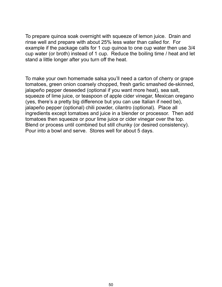To prepare quinoa soak overnight with squeeze of lemon juice. Drain and rinse well and prepare with about 25% less water than called for. For example if the package calls for 1 cup quinoa to one cup water then use 3/4 cup water (or broth) instead of 1 cup. Reduce the boiling time / heat and let stand a little longer after you turn off the heat.

To make your own homemade salsa you'll need a carton of cherry or grape tomatoes, green onion coarsely chopped, fresh garlic smashed de-skinned, jalapeño pepper deseeded (optional if you want more heat), sea salt, squeeze of lime juice, or teaspoon of apple cider vinegar, Mexican oregano (yes, there's a pretty big difference but you can use Italian if need be), jalapeño pepper (optional) chili powder, cilantro (optional). Place all ingredients except tomatoes and juice in a blender or processor. Then add tomatoes then squeeze or pour lime juice or cider vinegar over the top. Blend or process until combined but still chunky (or desired consistency). Pour into a bowl and serve. Stores well for about 5 days.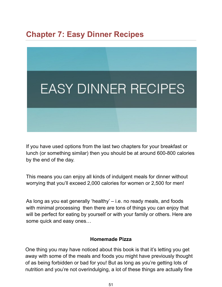## **Chapter 7: Easy Dinner Recipes**



If you have used options from the last two chapters for your breakfast or lunch (or something similar) then you should be at around 600-800 calories by the end of the day.

This means you can enjoy all kinds of indulgent meals for dinner without worrying that you'll exceed 2,000 calories for women or 2,500 for men!

As long as you eat generally 'healthy' – i.e. no ready meals, and foods with minimal processing then there are tons of things you can enjoy that will be perfect for eating by yourself or with your family or others. Here are some quick and easy ones…

#### **Homemade Pizza**

One thing you may have noticed about this book is that it's letting you get away with some of the meals and foods you might have previously thought of as being forbidden or bad for you! But as long as you're getting lots of nutrition and you're not overindulging, a lot of these things are actually fine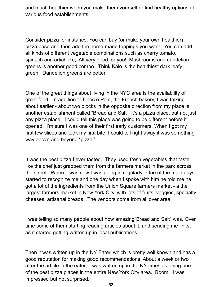and much healthier when you make them yourself or find healthy options at various food establishments.

Consider pizza for instance. You can buy (or make your own healthier) pizza base and then add the home-made toppings you want. You can add all kinds of different vegetable combinations such as cherry tomato, spinach and artichoke, All very good for you! Mushrooms and dandelion greens is another good combo. Think Kale is the healthiest dark leafy green. Dandelion greens are better.

One of the great things about living in the NYC area is the availability of great food. In addition to Choc o Pain, the French bakery, I was talking about earlier - about two blocks in the opposite direction from my place is another establishment called "Bread and Salt" It's a pizza place, but not just any pizza place. I could tell this place was going to be different before it opened. I'm sure I was one of their first early customers. When I got my first few slices and took my first bite, I could tell right away it was something way above and beyond "pizza."

It was the best pizza I ever tasted. They used fresh vegetables that taste like the chef just grabbed them from the farmers market in the park across the street. When it was new I was going in regularly. One of the main guys started to recognize me and one day when I spoke with him he told me he got a lot of the ingredients from the Union Square farmers market - a the largest farmers market in New York City, with lots of fruits, veggies, specialty cheeses, artisanal breads. The vendors come from all over area.

I was telling so many people about how amazing"Bread and Salt" was. Over time some of them starting reading articles about it, and sending me links, as it started getting written up in local publications.

Then it was written up in the NY Eater, which is pretty well known and has a good reputation for making good recommendations. About a week or two after the article in the eater, it was written up in the NY times as being one of the best pizza places in the entire New York City area. Boom! I was impressed but not surprised.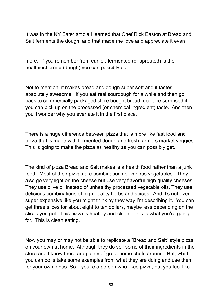It was in the NY Eater article I learned that Chef Rick Easton at Bread and Salt ferments the dough, and that made me love and appreciate it even

more. If you remember from earlier, fermented (or sprouted) is the healthiest bread (dough) you can possibly eat.

Not to mention, it makes bread and dough super soft and it tastes absolutely awesome. If you eat real sourdough for a while and then go back to commercially packaged store bought bread, don't be surprised if you can pick up on the processed (or chemical ingredient) taste. And then you'll wonder why you ever ate it in the first place.

There is a huge difference between pizza that is more like fast food and pizza that is made with fermented dough and fresh farmers market veggies. This is going to make the pizza as healthy as you can possibly get.

The kind of pizza Bread and Salt makes is a health food rather than a junk food. Most of their pizzas are combinations of various vegetables. They also go very light on the cheese but use very flavorful high quality cheeses. They use olive oil instead of unhealthy processed vegetable oils. They use delicious combinations of high-quality herbs and spices. And it's not even super expensive like you might think by they way I'm describing it. You can get three slices for about eight to ten dollars, maybe less depending on the slices you get. This pizza is healthy and clean. This is what you're going for. This is clean eating.

Now you may or may not be able to replicate a "Bread and Salt" style pizza on your own at home. Although they do sell some of their ingredients in the store and I know there are plenty of great home chefs around. But, what you can do is take some examples from what they are doing and use them for your own ideas. So if you're a person who likes pizza, but you feel like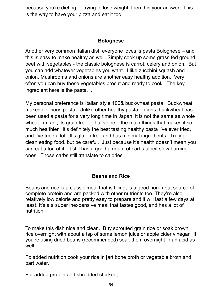because you're dieting or trying to lose weight, then this your answer. This is the way to have your pizza and eat it too.

#### **Bolognese**

Another very common Italian dish everyone loves is pasta Bolognese – and this is easy to make healthy as well. Simply cook up some grass fed ground beef with vegetables - the classic bolognese is carrot, celery and onion. But you can add whatever vegetables you want. I like zucchini squash and onion. Mushrooms and onions are another easy healthy addition. Very often you can buy these vegetables precut and ready to cook. The key ingredient here is the pasta. .

My personal preference is Italian style 100& buckwheat pasta. Buckwheat makes delicious pasta. Unlike other healthy pasta options, buckwheat has been used a pasta for a very long time in Japan. it is not the same as whole wheat. in fact, its grain free. That's one o the main things that makes it so much healthier. It's definitely the best tasting healthy pasta I've ever tried, and I've tried a lot. It's gluten free and has minimal ingredients. Truly a clean eating food. but be careful. Just because it's health doesn't mean you can eat a ton of it. it still has a good amount of carbs albeit slow burning ones. Those carbs still translate to calories

## **Beans and Rice**

Beans and rice is a classic meal that is filling, is a good non-meat source of complete protein and are packed with other nutrients too. They're also relatively low calorie and pretty easy to prepare and it will last a few days at least. It's a a super inexpensive meal that tastes good, and has a lot of nutrition.

To make this dish nice and clean. Buy sprouted grain rice or soak brown rice overnight with about a tsp of some lemon juice or apple cider vinegar. If you're using dried beans (recommended) soak them overnight in an acid as well.

Fo added nutrition cook your rice in [art bone broth or vegetable broth and part water.

For added protein add shredded chicken,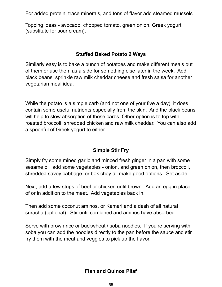For added protein, trace minerals, and tons of flavor add steamed mussels

Topping ideas - avocado, chopped tomato, green onion, Greek yogurt (substitute for sour cream).

### **Stuffed Baked Potato 2 Ways**

Similarly easy is to bake a bunch of potatoes and make different meals out of them or use them as a side for something else later in the week. Add black beans, sprinkle raw milk cheddar cheese and fresh salsa for another vegetarian meal idea.

While the potato is a simple carb (and not one of your five a day), it does contain some useful nutrients especially from the skin. And the black beans will help to slow absorption of those carbs. Other option is to top with roasted broccoli, shredded chicken and raw milk cheddar. You can also add a spoonful of Greek yogurt to either.

## **Simple Stir Fry**

Simply fry some mined garlic and minced fresh ginger in a pan with some sesame oil add some vegetables - onion, and green onion, then broccoli, shredded savoy cabbage, or bok choy all make good options. Set aside.

Next, add a few strips of beef or chicken until brown. Add an egg in place of or in addition to the meat. Add vegetables back in.

Then add some coconut aminos, or Kamari and a dash of all natural sriracha (optional). Stir until combined and aminos have absorbed.

Serve with brown rice or buckwheat / soba noodles. If you're serving with soba you can add the noodles directly to the pan before the sauce and stir fry them with the meat and veggies to pick up the flavor.

## **Fish and Quinoa Pilaf**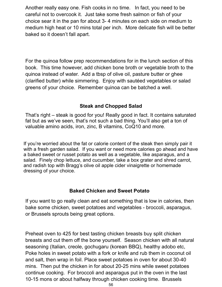Another really easy one. Fish cooks in no time. In fact, you need to be careful not to overcook it. Just take some fresh salmon or fish of your choice sear it in the pan for about 3- 4 minutes on each side on medium to medium high heat or 10 mins total per inch. More delicate fish will be better baked so it doesn't fall apart.

For the quinoa follow prep recommendations for in the lunch section of this book. This time however, add chicken bone broth or vegetable broth to the quinoa instead of water. Add a tbsp of olive oil, pasture butter or ghee (clarified butter) while simmering. Enjoy with sautéed vegetables or salad greens of your choice. Remember quinoa can be batched a well.

### **Steak and Chopped Salad**

That's right – steak is good for you! Really good in fact. It contains saturated fat but as we've seen, that's not such a bad thing. You'll also get a ton of valuable amino acids, iron, zinc, B vitamins, CoQ10 and more.

If you're worried about the fat or calorie content of the steak then simply pair it with a fresh garden salad. If you want or need more calories go ahead and have a baked sweet or russet potato as well as a vegetable, like asparagus, and a salad. Finely chop lettuce, and cucumber, take a box grater and shred carrot, and radish top with Bragg's olive oil apple cider vinaigrette or homemade dressing of your choice.

#### **Baked Chicken and Sweet Potato**

If you want to go really clean and eat something that is low in calories, then bake some chicken, sweet potatoes and vegetables - broccoli, asparagus, or Brussels sprouts being great options.

Preheat oven to 425 for best tasting chicken breasts buy split chicken breasts and cut them off the bone yourself. Season chicken with all natural seasoning (Italian, creole, gochugaru (korean BBQ), healthy adobo etc, Poke holes in sweet potato with a fork or knife and rub them in coconut oil and salt, then wrap in foil. Place sweet potatoes in oven for about 30-40 mins. Then put the chicken in for about 20-25 mins while sweet potatoes continue cooking. For broccoli and asparagus put in the oven in the last 10-15 mons or about halfway through chicken cooking time. Brussels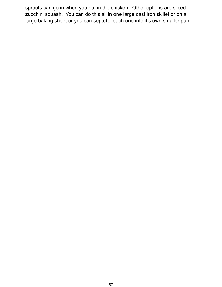sprouts can go in when you put in the chicken. Other options are sliced zucchini squash. You can do this all in one large cast iron skillet or on a large baking sheet or you can septette each one into it's own smaller pan.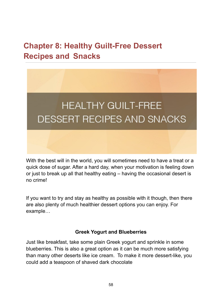## **Chapter 8: Healthy Guilt-Free Dessert Recipes and Snacks**



With the best will in the world, you will sometimes need to have a treat or a quick dose of sugar. After a hard day, when your motivation is feeling down or just to break up all that healthy eating – having the occasional desert is no crime!

If you want to try and stay as healthy as possible with it though, then there are also plenty of much healthier dessert options you can enjoy. For example…

#### **Greek Yogurt and Blueberries**

Just like breakfast, take some plain Greek yogurt and sprinkle in some blueberries. This is also a great option as it can be much more satisfying than many other deserts like ice cream. To make it more dessert-like, you could add a teaspoon of shaved dark chocolate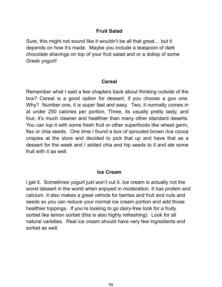### **Fruit Salad**

Sure, this might not sound like it wouldn't be all that great… but it depends on how it's made. Maybe you include a teaspoon of dark chocolate shavings on top of your fruit salad and or a dollop of some Greek yogurt!

#### **Cereal**

Remember what I said a few chapters back about thinking outside of the box? Cereal is a good option for dessert, if you choose a goo one. Why? Number one, it is super fast and easy. Two, it normally comes in at under 250 calories per portion, Three, its usually pretty tasty, and four, it's much cleaner and healthier than many other standard deserts. You can top it with some fresh fruit or other superfoods like wheat germ, flax or chia seeds. One time I found a box of sprouted brown rice cocoa crispies at the store and decided to pick that up and have that as a dessert for the week and I added chia and hip seeds to it and ate some fruit with it aa well.

#### **Ice Cream**

i get it. Sometimes yogurt just won't cut it. Ice cream is actually not the worst dessert in the world when enjoyed in moderation. It has protein and calcium. It also makes a great vehicle for berries and fruit and nuts and seeds so you can reduce your normal ice cream portion and add those healthier toppings. If you're looking to go dairy-free look for a fruity sorbet like lemon sorbet (this is also highly refreshing). Look for all natural varieties. Real ice cream should have very few ingredients and sorbet as well.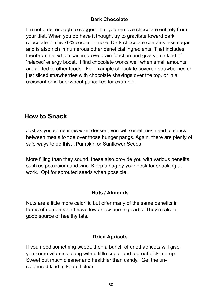## **Dark Chocolate**

I'm not cruel enough to suggest that you remove chocolate entirely from your diet. When you do have it though, try to gravitate toward dark chocolate that is 70% cocoa or more. Dark chocolate contains less sugar and is also rich in numerous other beneficial ingredients. That includes theobromine, which can improve brain function and give you a kind of 'relaxed' energy boost. I find chocolate works well when small amounts are added to other foods. For example chocolate covered strawberries or just sliced strawberries with chocolate shavings over the top. or in a croissant or in buckwheat pancakes for example.

## **How to Snack**

Just as you sometimes want dessert, you will sometimes need to snack between meals to tide over those hunger pangs. Again, there are plenty of safe ways to do this…Pumpkin or Sunflower Seeds

More filling than they sound, these also provide you with various benefits such as potassium and zinc. Keep a bag by your desk for snacking at work. Opt for sprouted seeds when possible.

## **Nuts / Almonds**

Nuts are a little more calorific but offer many of the same benefits in terms of nutrients and have low / slow burning carbs. They're also a good source of healthy fats.

## **Dried Apricots**

If you need something sweet, then a bunch of dried apricots will give you some vitamins along with a little sugar and a great pick-me-up. Sweet but much cleaner and healthier than candy. Get the unsulphured kind to keep it clean.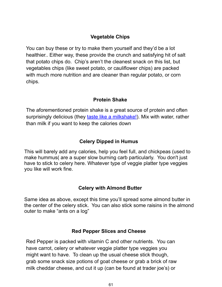## **Vegetable Chips**

You can buy these or try to make them yourself and they'd be a lot healthier.. Either way, these provide the crunch and satisfying hit of salt that potato chips do. Chip's aren't the cleanest snack on this list, but vegetables chips (like sweet potato, or cauliflower chips) are packed with much more nutrition and are cleaner than regular potato, or corn chips.

#### **Protein Shake**

The aforementioned protein shake is a great source of protein and often surprisingly delicious (they [taste like a milkshake!](https://offers.biotrust.com/aff_c?offer_id=101&aff_id=1417&aff_sub=AS041320)). Mix with water, rather than milk if you want to keep the calories down

#### **Celery Dipped in Humus**

This will barely add any calories, help you feel full, and chickpeas (used to make hummus( are a super slow burning carb particularly. You don't just have to stick to celery here. Whatever type of veggie platter type veggies you like will work fine.

#### **Celery with Almond Butter**

Same idea as above, except this time you'll spread some almond butter in the center of the celery stick. You can also stick some raisins in the almond outer to make "ants on a log"

#### **Red Pepper Slices and Cheese**

Red Pepper is packed with vitamin C and other nutrients. You can have carrot, celery or whatever veggie platter type veggies you might want to have. To clean up the usual cheese stick though, grab some snack size potions of goat cheese or grab a brick of raw milk cheddar cheese, and cut it up (can be found at trader joe's) or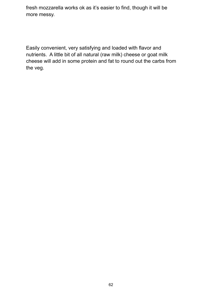fresh mozzarella works ok as it's easier to find, though it will be more messy.

Easily convenient, very satisfying and loaded with flavor and nutrients. A little bit of all natural (raw milk) cheese or goat milk cheese will add in some protein and fat to round out the carbs from the veg.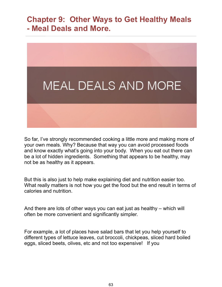## **Chapter 9: Other Ways to Get Healthy Meals - Meal Deals and More.**



So far, I've strongly recommended cooking a little more and making more of your own meals. Why? Because that way you can avoid processed foods and know exactly what's going into your body. When you eat out there can be a lot of hidden ingredients. Something that appears to be healthy, may not be as healthy as it appears.

But this is also just to help make explaining diet and nutrition easier too. What really matters is not how you get the food but the end result in terms of calories and nutrition.

And there are lots of other ways you can eat just as healthy – which will often be more convenient and significantly simpler.

For example, a lot of places have salad bars that let you help yourself to different types of lettuce leaves, cut broccoli, chickpeas, sliced hard boiled eggs, sliced beets, olives, etc and not too expensive! If you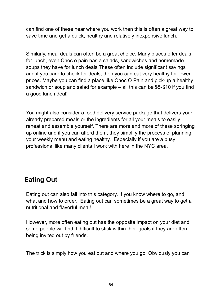can find one of these near where you work then this is often a great way to save time and get a quick, healthy and relatively inexpensive lunch.

Similarly, meal deals can often be a great choice. Many places offer deals for lunch, even Choc o pain has a salads, sandwiches and homemade soups they have for lunch deals These often include significant savings and if you care to check for deals, then you can eat very healthy for lower prices. Maybe you can find a place like Choc O Pain and pick-up a healthy sandwich or soup and salad for example – all this can be \$5-\$10 if you find a good lunch deal!

You might also consider a food delivery service package that delivers your already prepared meals or the ingredients for all your meals to easily reheat and assemble yourself. There are more and more of these springing up online and if you can afford them, they simplify the process of planning your weekly menu and eating healthy. Especially if you are a busy professional like many clients I work with here in the NYC area.

## **Eating Out**

Eating out can also fall into this category. If you know where to go, and what and how to order. Eating out can sometimes be a great way to get a nutritional and flavorful meal!

However, more often eating out has the opposite impact on your diet and some people will find it difficult to stick within their goals if they are often being invited out by friends.

The trick is simply how you eat out and where you go. Obviously you can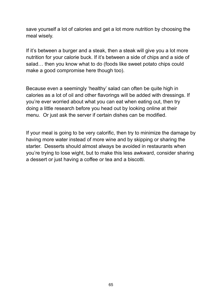save yourself a lot of calories and get a lot more nutrition by choosing the meal wisely.

If it's between a burger and a steak, then a steak will give you a lot more nutrition for your calorie buck. If it's between a side of chips and a side of salad… then you know what to do (foods like sweet potato chips could make a good compromise here though too).

Because even a seemingly 'healthy' salad can often be quite high in calories as a lot of oil and other flavorings will be added with dressings. If you're ever worried about what you can eat when eating out, then try doing a little research before you head out by looking online at their menu. Or just ask the server if certain dishes can be modified.

If your meal is going to be very calorific, then try to minimize the damage by having more water instead of more wine and by skipping or sharing the starter. Desserts should almost always be avoided in restaurants when you're trying to lose wight, but to make this less awkward, consider sharing a dessert or just having a coffee or tea and a biscotti.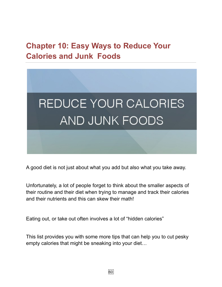## **Chapter 10: Easy Ways to Reduce Your Calories and Junk Foods**



A good diet is not just about what you add but also what you take away.

Unfortunately, a lot of people forget to think about the smaller aspects of their routine and their diet when trying to manage and track their calories and their nutrients and this can skew their math!

Eating out, or take out often involves a lot of "hidden calories"

This list provides you with some more tips that can help you to cut pesky empty calories that might be sneaking into your diet…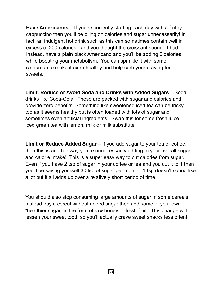**Have Americanos** – If you're currently starting each day with a frothy cappuccino then you'll be piling on calories and sugar unnecessarily! In fact, an indulgent hot drink such as this can sometimes contain well in excess of 200 calories - and you thought the croissant sounded bad. Instead, have a plain black Americano and you'll be adding 0 calories while boosting your metabolism. You can sprinkle it with some cinnamon to make it extra healthy and help curb your craving for sweets.

**Limit, Reduce or Avoid Soda and Drinks with Added Sugars** – Soda drinks like Coca-Cola. These are packed with sugar and calories and provide zero benefits. Something like sweetened iced tea can be tricky too as it seems healthy but is often loaded with lots of sugar and sometimes even artificial ingredients. Swap this for some fresh juice, iced green tea with lemon, milk or milk substitute.

**Limit or Reduce Added Sugar** – If you add sugar to your tea or coffee, then this is another way you're unnecessarily adding to your overall sugar and calorie intake! This is a super easy way to cut calories from sugar. Even if you have 2 tsp of sugar in your coffee or tea and you cut it to 1 then you'll be saving yourself 30 tsp of sugar per month. 1 tsp doesn't sound like a lot but it all adds up over a relatively short period of time.

You should also stop consuming large amounts of sugar in some cereals. Instead buy a cereal without added sugar then add some of your own "healthier sugar" in the form of raw honey or fresh fruit. This change will lessen your sweet tooth so you'll actually crave sweet snacks less often!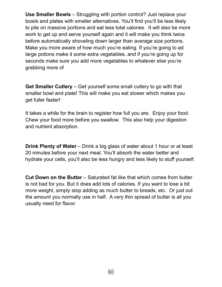**Use Smaller Bowls** – Struggling with portion control? Just replace your bowls and plates with smaller alternatives. You'll find you'll be less likely to pile on massive portions and eat less total calories. It will also be more work to get up and serve yourself again and it will make you think twice before automatically shoveling down larger than average size portions. Make you more aware of how much you're eating. If you're going to ad large potions make it some extra vegetables. and if you're going up for seconds make sure you add more vegetables to whatever else you're grabbing more of

**Get Smaller Cutlery** – Get yourself some small cutlery to go with that smaller bowl and plate! This will make you eat slower which makes you get fuller faster!

It takes a while for the brain to register how full you are. Enjoy your food. Chew your food more before you swallow. This also help your digestion and nutrient absorption.

**Drink Plenty of Water** – Drink a big glass of water about 1 hour or at least 20 minutes before your next meal. You'll absorb the water better and hydrate your cells, you'll also be less hungry and less likely to stuff yourself.

**Cut Down on the Butter** – Saturated fat like that which comes from butter is not bad for you. But it does add lots of calories. If you want to lose a bit more weight, simply stop adding as much butter to breads, etc. Or just out the amount you normally use in half. A very thin spread of butter is all you usually need for flavor.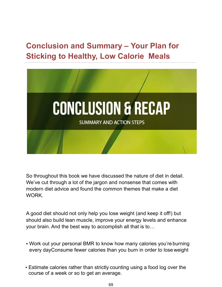# **Conclusion and Summary – Your Plan for Sticking to Healthy, Low Calorie Meals**



So throughout this book we have discussed the nature of diet in detail. We've cut through a lot of the jargon and nonsense that comes with modern diet advice and found the common themes that make a diet WORK.

A good diet should not only help you lose weight (and keep it off!) but should also build lean muscle, improve your energy levels and enhance your brain. And the best way to accomplish all that is to…

- Work out your personal BMR to know how many calories you're burning every dayConsume fewer calories than you burn in order to lose weight
- Estimate calories rather than strictly counting using a food log over the course of a week or so to get an average.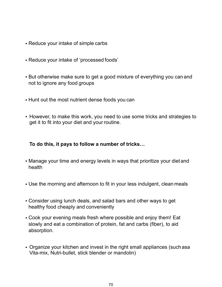- Reduce your intake of simple carbs
- Reduce your intake of 'processed foods'
- But otherwise make sure to get a good mixture of everything you canand not to ignore any food groups
- Hunt out the most nutrient dense foods you can
- However, to make this work, you need to use some tricks and strategies to get it to fit into your diet and your routine.

#### **To do this, it pays to follow a number of tricks…**

- Manage your time and energy levels in ways that prioritize your dietand health
- Use the morning and afternoon to fit in your less indulgent, clean meals
- Consider using lunch deals, and salad bars and other ways to get healthy food cheaply and conveniently
- Cook your evening meals fresh where possible and enjoy them! Eat slowly and eat a combination of protein, fat and carbs (fiber), to aid absorption.
- Organize your kitchen and invest in the right small appliances (such asa Vita-mix, Nutri-bullet, stick blender or mandolin)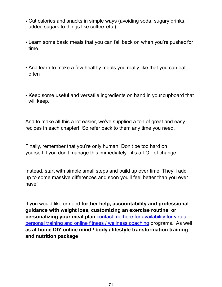- Cut calories and snacks in simple ways (avoiding soda, sugary drinks, added sugars to things like coffee etc.)
- Learn some basic meals that you can fall back on when you're pushedfor time.
- And learn to make a few healthy meals you really like that you can eat often
- Keep some useful and versatile ingredients on hand in your cupboard that will keep.

And to make all this a lot easier, we've supplied a ton of great and easy recipes in each chapter! So refer back to them any time you need.

Finally, remember that you're only human! Don't be too hard on yourself if you don't manage this immediately– it's a LOT of change.

Instead, start with simple small steps and build up over time. They'll add up to some massive differences and soon you'll feel better than you ever have!

If you would like or need **further help, accountability and professional guidance with weight loss, customizing an exercise routine, or personalizing your meal plan** [contact me here for availability for virtual](https://nycinhomepersonaltraining.com/virtual-personal-training-for-women/)  [personal training and online fitness / wellness coaching programs. As we](https://nycinhomepersonaltraining.com/virtual-personal-training-for-women/)ll as **at home DIY online mind / body / lifestyle transformation training and nutrition package**